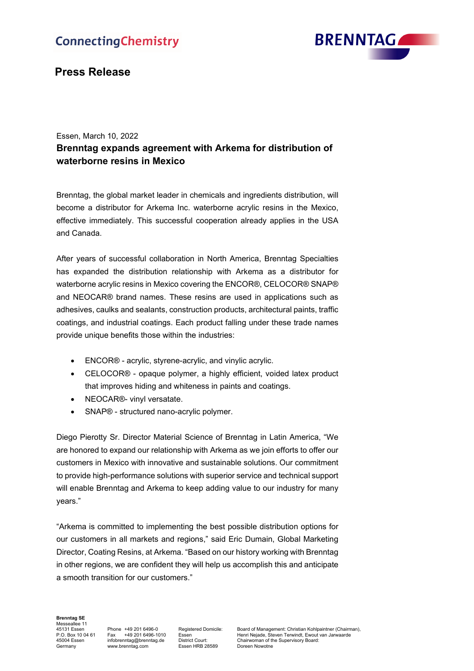# **ConnectingChemistry**



## **Press Release**

### Essen, March 10, 2022 **Brenntag expands agreement with Arkema for distribution of waterborne resins in Mexico**

Brenntag, the global market leader in chemicals and ingredients distribution, will become a distributor for Arkema Inc. waterborne acrylic resins in the Mexico, effective immediately. This successful cooperation already applies in the USA and Canada.

After years of successful collaboration in North America, Brenntag Specialties has expanded the distribution relationship with Arkema as a distributor for waterborne acrylic resins in Mexico covering the ENCOR®, CELOCOR® SNAP® and NEOCAR® brand names. These resins are used in applications such as adhesives, caulks and sealants, construction products, architectural paints, traffic coatings, and industrial coatings. Each product falling under these trade names provide unique benefits those within the industries:

- ENCOR® acrylic, styrene-acrylic, and vinylic acrylic.
- CELOCOR® opaque polymer, a highly efficient, voided latex product that improves hiding and whiteness in paints and coatings.
- NEOCAR®- vinyl versatate.
- SNAP® structured nano-acrylic polymer.

Diego Pierotty Sr. Director Material Science of Brenntag in Latin America, "We are honored to expand our relationship with Arkema as we join efforts to offer our customers in Mexico with innovative and sustainable solutions. Our commitment to provide high-performance solutions with superior service and technical support will enable Brenntag and Arkema to keep adding value to our industry for many years."

"Arkema is committed to implementing the best possible distribution options for our customers in all markets and regions," said Eric Dumain, Global Marketing Director, Coating Resins, at Arkema. "Based on our history working with Brenntag in other regions, we are confident they will help us accomplish this and anticipate a smooth transition for our customers."

**Brenntag SE** Messeallee 11<br>45131 Essen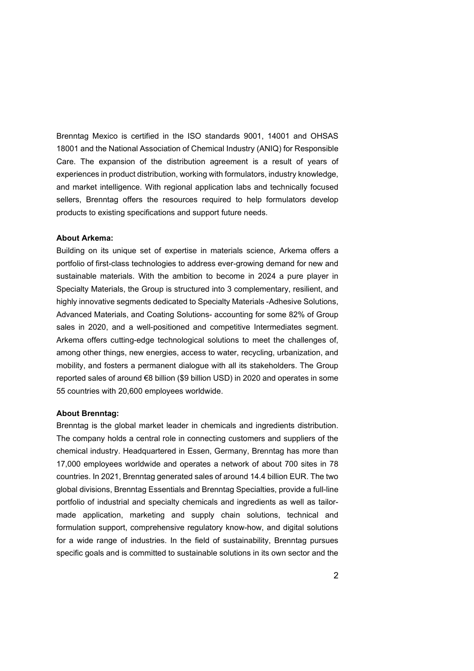Brenntag Mexico is certified in the ISO standards 9001, 14001 and OHSAS 18001 and the National Association of Chemical Industry (ANIQ) for Responsible Care. The expansion of the distribution agreement is a result of years of experiences in product distribution, working with formulators, industry knowledge, and market intelligence. With regional application labs and technically focused sellers, Brenntag offers the resources required to help formulators develop products to existing specifications and support future needs.

#### **About Arkema:**

Building on its unique set of expertise in materials science, Arkema offers a portfolio of first-class technologies to address ever-growing demand for new and sustainable materials. With the ambition to become in 2024 a pure player in Specialty Materials, the Group is structured into 3 complementary, resilient, and highly innovative segments dedicated to Specialty Materials -Adhesive Solutions, Advanced Materials, and Coating Solutions- accounting for some 82% of Group sales in 2020, and a well-positioned and competitive Intermediates segment. Arkema offers cutting-edge technological solutions to meet the challenges of, among other things, new energies, access to water, recycling, urbanization, and mobility, and fosters a permanent dialogue with all its stakeholders. The Group reported sales of around €8 billion (\$9 billion USD) in 2020 and operates in some 55 countries with 20,600 employees worldwide.

#### **About Brenntag:**

Brenntag is the global market leader in chemicals and ingredients distribution. The company holds a central role in connecting customers and suppliers of the chemical industry. Headquartered in Essen, Germany, Brenntag has more than 17,000 employees worldwide and operates a network of about 700 sites in 78 countries. In 2021, Brenntag generated sales of around 14.4 billion EUR. The two global divisions, Brenntag Essentials and Brenntag Specialties, provide a full-line portfolio of industrial and specialty chemicals and ingredients as well as tailormade application, marketing and supply chain solutions, technical and formulation support, comprehensive regulatory know-how, and digital solutions for a wide range of industries. In the field of sustainability, Brenntag pursues specific goals and is committed to sustainable solutions in its own sector and the